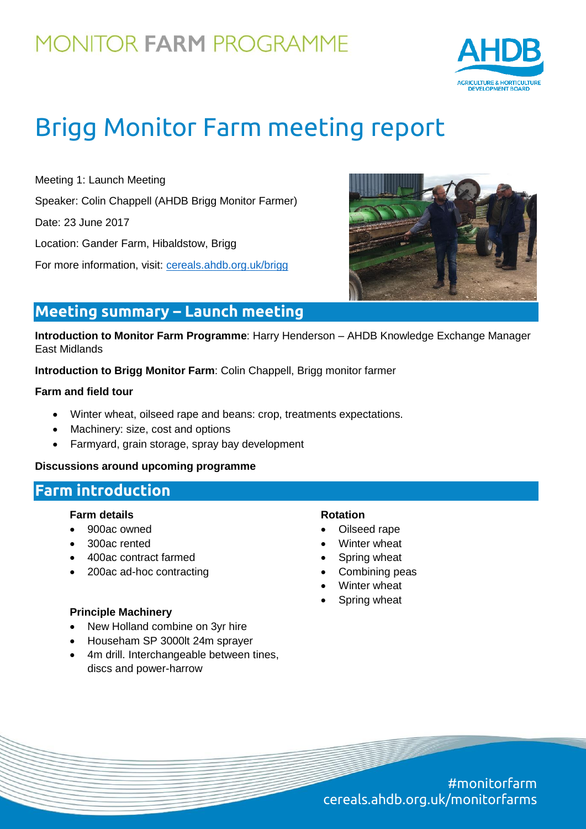# **MONITOR FARM PROGRAMME**



# Brigg Monitor Farm meeting report

Meeting 1: Launch Meeting Speaker: Colin Chappell (AHDB Brigg Monitor Farmer) Date: 23 June 2017 Location: Gander Farm, Hibaldstow, Brigg For more information, visit: [cereals.ahdb.org.uk/brigg](https://cereals.ahdb.org.uk/brigg)



### **Meeting summary – Launch meeting**

**Introduction to Monitor Farm Programme**: Harry Henderson – AHDB Knowledge Exchange Manager East Midlands

**Introduction to Brigg Monitor Farm**: Colin Chappell, Brigg monitor farmer

#### **Farm and field tour**

- Winter wheat, oilseed rape and beans: crop, treatments expectations.
- Machinery: size, cost and options
- Farmyard, grain storage, spray bay development

#### **Discussions around upcoming programme**

### **Farm introduction**

#### **Farm details**

- 900ac owned
- 300ac rented
- 400ac contract farmed
- 200ac ad-hoc contracting

#### **Rotation**

- Oilseed rape
- Winter wheat
- Spring wheat
- Combining peas
- Winter wheat
- Spring wheat

#### **Principle Machinery**

- New Holland combine on 3yr hire
- Househam SP 3000lt 24m sprayer
- 4m drill. Interchangeable between tines, discs and power-harrow

#monitorfarm cereals.ahdb.org.uk/monitorfarms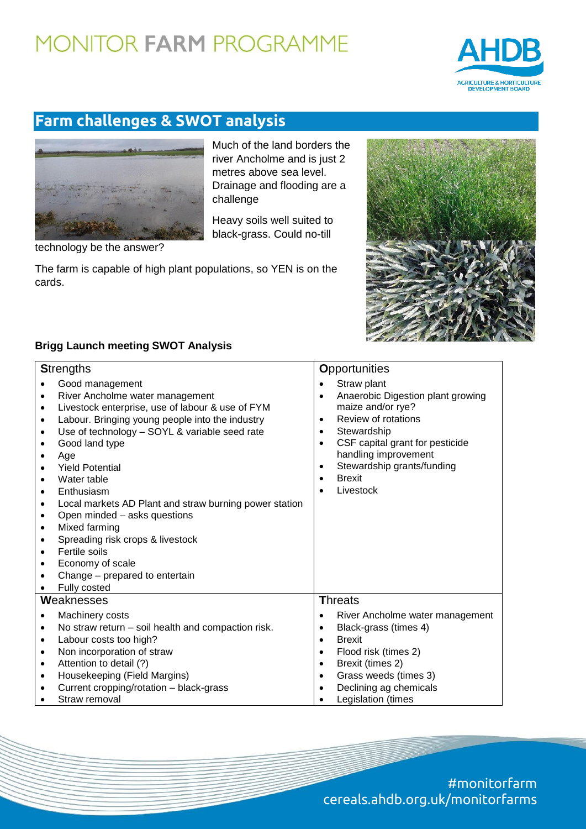# MONITOR FARM PROGRAMME



## **Farm challenges & SWOT analysis**



technology be the answer?

The farm is capable of high plant populations, so YEN is on the cards.



#### **Brigg Launch meeting SWOT Analysis**

| <b>Strengths</b>                                                                                                                                                                                                                                                                                                                                                                                                                                                                                                                                                                                                                                                | <b>Opportunities</b>                                                                                                                                                                                                                                                                                                          |
|-----------------------------------------------------------------------------------------------------------------------------------------------------------------------------------------------------------------------------------------------------------------------------------------------------------------------------------------------------------------------------------------------------------------------------------------------------------------------------------------------------------------------------------------------------------------------------------------------------------------------------------------------------------------|-------------------------------------------------------------------------------------------------------------------------------------------------------------------------------------------------------------------------------------------------------------------------------------------------------------------------------|
| Good management<br>River Ancholme water management<br>٠<br>Livestock enterprise, use of labour & use of FYM<br>$\bullet$<br>Labour. Bringing young people into the industry<br>$\bullet$<br>Use of technology - SOYL & variable seed rate<br>$\bullet$<br>Good land type<br>$\bullet$<br>Age<br><b>Yield Potential</b><br>Water table<br>Enthusiasm<br>٠<br>Local markets AD Plant and straw burning power station<br>$\bullet$<br>Open minded - asks questions<br>$\bullet$<br>Mixed farming<br>$\bullet$<br>Spreading risk crops & livestock<br>$\bullet$<br>Fertile soils<br>$\bullet$<br>Economy of scale<br>Change - prepared to entertain<br>Fully costed | Straw plant<br>Anaerobic Digestion plant growing<br>$\bullet$<br>maize and/or rye?<br>Review of rotations<br>$\bullet$<br>Stewardship<br>$\bullet$<br>CSF capital grant for pesticide<br>$\bullet$<br>handling improvement<br>Stewardship grants/funding<br>$\bullet$<br><b>Brexit</b><br>$\bullet$<br>Livestock<br>$\bullet$ |
| Weaknesses                                                                                                                                                                                                                                                                                                                                                                                                                                                                                                                                                                                                                                                      | <b>Threats</b>                                                                                                                                                                                                                                                                                                                |
| Machinery costs<br>No straw return - soil health and compaction risk.<br>$\bullet$<br>Labour costs too high?<br>$\bullet$<br>Non incorporation of straw<br>$\bullet$<br>Attention to detail (?)<br>$\bullet$<br>Housekeeping (Field Margins)<br>$\bullet$<br>Current cropping/rotation - black-grass<br>Straw removal                                                                                                                                                                                                                                                                                                                                           | River Ancholme water management<br>Black-grass (times 4)<br>$\bullet$<br><b>Brexit</b><br>$\bullet$<br>Flood risk (times 2)<br>$\bullet$<br>Brexit (times 2)<br>$\bullet$<br>Grass weeds (times 3)<br>$\bullet$<br>Declining ag chemicals<br>Legislation (times                                                               |

Much of the land borders the river Ancholme and is just 2 metres above sea level. Drainage and flooding are a

Heavy soils well suited to black-grass. Could no-till

challenge

#monitorfarm cereals.ahdb.org.uk/monitorfarms